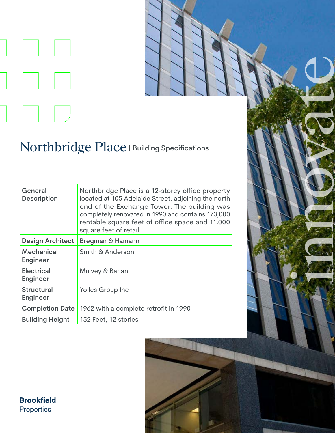

## Northbridge Place | Building Specifications

| General<br><b>Description</b>        | Northbridge Place is a 12-storey office property<br>located at 105 Adelaide Street, adjoining the north<br>end of the Exchange Tower. The building was<br>completely renovated in 1990 and contains 173,000<br>rentable square feet of office space and 11,000<br>square feet of retail. |
|--------------------------------------|------------------------------------------------------------------------------------------------------------------------------------------------------------------------------------------------------------------------------------------------------------------------------------------|
| <b>Design Architect</b>              | Bregman & Hamann                                                                                                                                                                                                                                                                         |
| <b>Mechanical</b><br><b>Engineer</b> | Smith & Anderson                                                                                                                                                                                                                                                                         |
| <b>Electrical</b><br><b>Engineer</b> | Mulvey & Banani                                                                                                                                                                                                                                                                          |
| <b>Structural</b><br><b>Engineer</b> | Yolles Group Inc                                                                                                                                                                                                                                                                         |
| <b>Completion Date</b>               | 1962 with a complete retrofit in 1990                                                                                                                                                                                                                                                    |
| <b>Building Height</b>               | 152 Feet, 12 stories                                                                                                                                                                                                                                                                     |



innovate en 1990

**Brookfield** Properties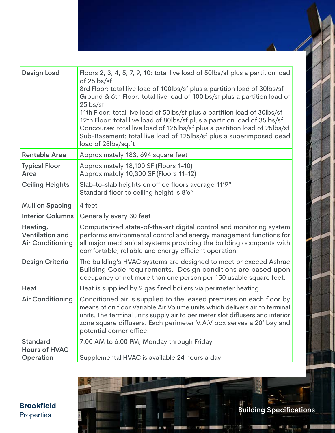| <b>Design Load</b>                                            | Floors 2, 3, 4, 5, 7, 9, 10: total live load of 50lbs/sf plus a partition load<br>of 25lbs/sf<br>3rd Floor: total live load of 100lbs/sf plus a partition load of 30lbs/sf<br>Ground & 6th Floor: total live load of 100lbs/sf plus a partition load of<br>25lbs/sf<br>11th Floor: total live load of 50lbs/sf plus a partition load of 30lbs/sf<br>12th Floor: total live load of 80lbs/sf plus a partition load of 35lbs/sf<br>Concourse: total live load of 125lbs/sf plus a partition load of 25lbs/sf<br>Sub-Basement: total live load of 125lbs/sf plus a superimposed dead<br>load of 25lbs/sq.ft |
|---------------------------------------------------------------|----------------------------------------------------------------------------------------------------------------------------------------------------------------------------------------------------------------------------------------------------------------------------------------------------------------------------------------------------------------------------------------------------------------------------------------------------------------------------------------------------------------------------------------------------------------------------------------------------------|
| <b>Rentable Area</b>                                          | Approximately 183, 694 square feet                                                                                                                                                                                                                                                                                                                                                                                                                                                                                                                                                                       |
| <b>Typical Floor</b><br>Area                                  | Approximately 18,100 SF (Floors 1-10)<br>Approximately 10,300 SF (Floors 11-12)                                                                                                                                                                                                                                                                                                                                                                                                                                                                                                                          |
| <b>Ceiling Heights</b>                                        | Slab-to-slab heights on office floors average 11'9"<br>Standard floor to ceiling height is 8'6"                                                                                                                                                                                                                                                                                                                                                                                                                                                                                                          |
| <b>Mullion Spacing</b>                                        | 4 feet                                                                                                                                                                                                                                                                                                                                                                                                                                                                                                                                                                                                   |
| <b>Interior Columns</b>                                       | Generally every 30 feet                                                                                                                                                                                                                                                                                                                                                                                                                                                                                                                                                                                  |
| Heating,<br><b>Ventilation and</b><br><b>Air Conditioning</b> | Computerized state-of-the-art digital control and monitoring system<br>performs environmental control and energy management functions for<br>all major mechanical systems providing the building occupants with<br>comfortable, reliable and energy efficient operation.                                                                                                                                                                                                                                                                                                                                 |
| <b>Design Criteria</b>                                        | The building's HVAC systems are designed to meet or exceed Ashrae<br>Building Code requirements. Design conditions are based upon<br>occupancy of not more than one person per 150 usable square feet.                                                                                                                                                                                                                                                                                                                                                                                                   |
| <b>Heat</b>                                                   | Heat is supplied by 2 gas fired boilers via perimeter heating.                                                                                                                                                                                                                                                                                                                                                                                                                                                                                                                                           |
| <b>Air Conditioning</b>                                       | Conditioned air is supplied to the leased premises on each floor by<br>means of on floor Variable Air Volume units which delivers air to terminal<br>units. The terminal units supply air to perimeter slot diffusers and interior<br>zone square diffusers. Each perimeter V.A.V box serves a 20' bay and<br>potential corner office.                                                                                                                                                                                                                                                                   |
| <b>Standard</b><br><b>Hours of HVAC</b><br>Operation          | 7:00 AM to 6:00 PM, Monday through Friday<br>Supplemental HVAC is available 24 hours a day                                                                                                                                                                                                                                                                                                                                                                                                                                                                                                               |

11

**Brookfield**<br>Properties

WITH

8

**Building Specifications**

a,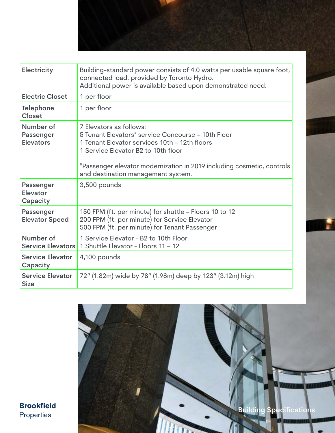

| <b>Electricity</b>                         | Building-standard power consists of 4.0 watts per usable square foot,<br>connected load, provided by Toronto Hydro.<br>Additional power is available based upon demonstrated need.                                                                                                    |
|--------------------------------------------|---------------------------------------------------------------------------------------------------------------------------------------------------------------------------------------------------------------------------------------------------------------------------------------|
| <b>Electric Closet</b>                     | 1 per floor                                                                                                                                                                                                                                                                           |
| <b>Telephone</b><br>Closet                 | 1 per floor                                                                                                                                                                                                                                                                           |
| Number of<br>Passenger<br><b>Elevators</b> | 7 Elevators as follows:<br>5 Tenant Elevators* service Concourse – 10th Floor<br>1 Tenant Elevator services 10th – 12th floors<br>1 Service Elevator B2 to 10th floor<br>*Passenger elevator modernization in 2019 including cosmetic, controls<br>and destination management system. |
| Passenger<br>Elevator<br>Capacity          | 3,500 pounds                                                                                                                                                                                                                                                                          |
| <b>Passenger</b><br><b>Elevator Speed</b>  | 150 FPM (ft. per minute) for shuttle – Floors 10 to 12<br>200 FPM (ft. per minute) for Service Elevator<br>500 FPM (ft. per minute) for Tenant Passenger                                                                                                                              |
| Number of<br><b>Service Elevators</b>      | 1 Service Elevator - B2 to 10th Floor<br>1 Shuttle Elevator - Floors 11 - 12                                                                                                                                                                                                          |
| <b>Service Elevator</b><br>Capacity        | 4,100 pounds                                                                                                                                                                                                                                                                          |
| <b>Service Elevator</b><br><b>Size</b>     | 72" (1.82m) wide by 78" (1.98m) deep by 123" (3.12m) high                                                                                                                                                                                                                             |



**Brookfield** Properties